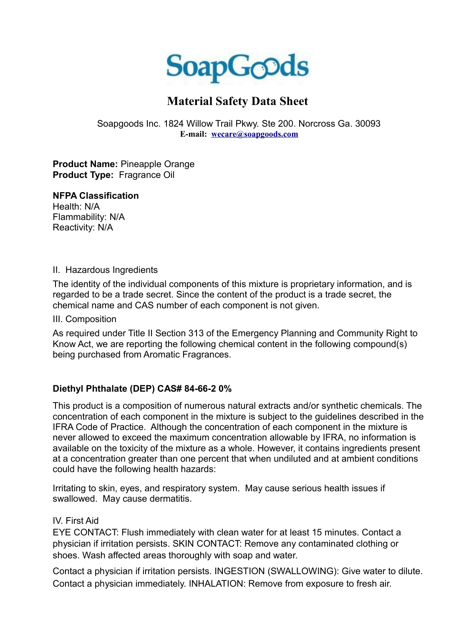

# **Material Safety Data Sheet**

Soapgoods Inc. 1824 Willow Trail Pkwy. Ste 200. Norcross Ga. 30093 **E-mail: [wecare@soapgoods.com](mailto:wecare@soapgoods.com)**

**Product Name:** Pineapple Orange **Product Type:** Fragrance Oil

#### **NFPA Classification**

Health: N/A Flammability: N/A Reactivity: N/A

#### II. Hazardous Ingredients

The identity of the individual components of this mixture is proprietary information, and is regarded to be a trade secret. Since the content of the product is a trade secret, the chemical name and CAS number of each component is not given.

III. Composition

As required under Title II Section 313 of the Emergency Planning and Community Right to Know Act, we are reporting the following chemical content in the following compound(s) being purchased from Aromatic Fragrances.

# **Diethyl Phthalate (DEP) CAS# 84-66-2 0%**

This product is a composition of numerous natural extracts and/or synthetic chemicals. The concentration of each component in the mixture is subject to the guidelines described in the IFRA Code of Practice. Although the concentration of each component in the mixture is never allowed to exceed the maximum concentration allowable by IFRA, no information is available on the toxicity of the mixture as a whole. However, it contains ingredients present at a concentration greater than one percent that when undiluted and at ambient conditions could have the following health hazards:

Irritating to skin, eyes, and respiratory system. May cause serious health issues if swallowed. May cause dermatitis.

# IV. First Aid

EYE CONTACT: Flush immediately with clean water for at least 15 minutes. Contact a physician if irritation persists. SKIN CONTACT: Remove any contaminated clothing or shoes. Wash affected areas thoroughly with soap and water.

Contact a physician if irritation persists. INGESTION (SWALLOWING): Give water to dilute. Contact a physician immediately. INHALATION: Remove from exposure to fresh air.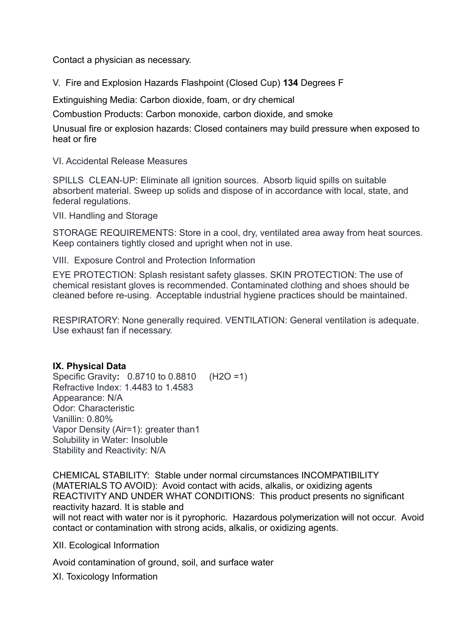Contact a physician as necessary.

V. Fire and Explosion Hazards Flashpoint (Closed Cup) **134** Degrees F

Extinguishing Media: Carbon dioxide, foam, or dry chemical

Combustion Products: Carbon monoxide, carbon dioxide, and smoke

Unusual fire or explosion hazards: Closed containers may build pressure when exposed to heat or fire

VI. Accidental Release Measures

SPILLS CLEAN-UP: Eliminate all ignition sources. Absorb liquid spills on suitable absorbent material. Sweep up solids and dispose of in accordance with local, state, and federal regulations.

VII. Handling and Storage

STORAGE REQUIREMENTS: Store in a cool, dry, ventilated area away from heat sources. Keep containers tightly closed and upright when not in use.

VIII. Exposure Control and Protection Information

EYE PROTECTION: Splash resistant safety glasses. SKIN PROTECTION: The use of chemical resistant gloves is recommended. Contaminated clothing and shoes should be cleaned before re-using. Acceptable industrial hygiene practices should be maintained.

RESPIRATORY: None generally required. VENTILATION: General ventilation is adequate. Use exhaust fan if necessary.

#### **IX. Physical Data**

Specific Gravity**:** 0.8710 to 0.8810(H2O =1) Refractive Index: 1.4483 to 1.4583 Appearance: N/A Odor: Characteristic Vanillin: 0.80% Vapor Density (Air=1): greater than1 Solubility in Water: Insoluble Stability and Reactivity: N/A

CHEMICAL STABILITY: Stable under normal circumstances INCOMPATIBILITY (MATERIALS TO AVOID): Avoid contact with acids, alkalis, or oxidizing agents REACTIVITY AND UNDER WHAT CONDITIONS: This product presents no significant reactivity hazard. It is stable and will not react with water nor is it pyrophoric. Hazardous polymerization will not occur. Avoid contact or contamination with strong acids, alkalis, or oxidizing agents.

XII. Ecological Information

Avoid contamination of ground, soil, and surface water

XI. Toxicology Information